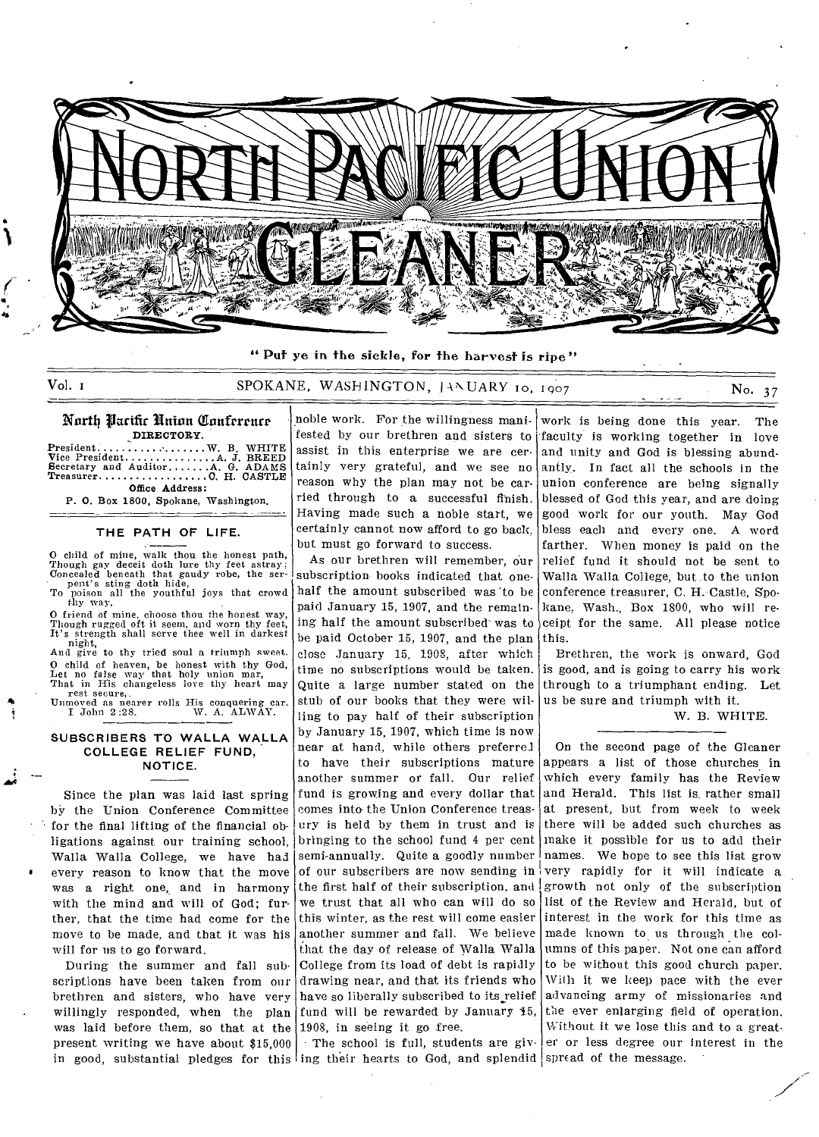

**" Put** ye in the sickle, for the harvest is ripe"

## Vol. 1 SPOKANE, WASHINGTON, JANUARY 10, 1907 No. 37

#### North Nacific Union Conference DIRECTORY

 $President \ldots \ldots \ldots \ldots \ldots \ldots \ldots \ldots W$ . B. WHITE Vice President A JBREED Secretary and Auditor AG. ADAMS Treasurer 0H. CASTLE Office Address:

P. 0. Box 1800, Spokane, Washington.

### **THE PATH OF LIFE.**

O child of mine, walk thou the honest path, Though gay deceit doth lure thy feet astray;<br>Concealed beneath that gaudy robe, the ser-

pent's sting doth hide, To poison all the youthful joys that crowd thy way.

O friend of mine, choose thou the honest way, Though rugged oft it seem, and worn thy feet, It's strength shall serve thee well in darkest night,

And give to thy tried soul a triumph sweet,. O child of heaven, be honest with thy God, Let no false way that holy union mar, That in His changeless love thy heart may

rest secure,. Unmoved as nearer rolls His conquering car. I John 2:28. W. A. ALWAY.

#### **SUBSCRIBERS TO WALLA WALLA COLLEGE RELIEF FUND, NOTICE.**

Since the plan was laid last spring bY the Union Conference Committee for the final lifting of the financial obligations against our training school, Walla Walla College, we have had every reason to know that the move was a right one, and in harmony with the mind and will of God; further, that the time had come for the move to be made, and that it was his will for us to go forward.

During the summer and fall subscriptions have been taken from our brethren and sisters, who have very willingly responded, when the plan was laid before them, so that at the present writing we have about \$15,000 in good, substantial pledges for this ing their hearts to God, and splendid spread of the message.

noble work. For the willingness manifested by our brethren and sisters to assist in this enterprise we are certainly very grateful, and we see no reason why the plan may not be carried through to a successful finish. Having made such a noble start, we certainly cannot now afford to go back, but must go forward to success.

As our brethren will remember, our subscription books indicated that onehalf the amount subscribed was 'to be paid January 15, 1907, and the remaining half the amount subscribed' was to be paid October 15, 1907, and the plan close January 15, 1908, after which time no subscriptions would be taken. Quite a large number stated on the stub of our books that they were willing to pay half of their subscription by January 15, 1907, which time is now near at hand, while others preferrel to have their subscriptions mature another summer or fall. Our relief fund is growing and every dollar that comes into the Union Conference treasury is held by them in trust and is bringing to the school fund 4 per cent semi-annually. Quite a goodly number of our subscribers are now sending in the first half of their subscription, and we trust that all who can will do so this winter, as the rest will come easier another summer and fall. We believe that the day of release of Walla Walla College from its load of debt is rapidly drawing near, and that its friends who have so liberally subscribed to its relief fund will be rewarded by January 15, 1908, in seeing it go free.

The school is full, students are giv-

work is being done this year. The faculty is working together in love and unity and God is blessing abundantly. In fact all the schools in the union conference are being signally blessed of God this year, and are doing good work for our youth. May God bless each and every one. A word farther. When money is paid on the relief fund it should not be sent to Walla Walla College, but .to the union conference treasurer, C. H. Castle, Spokane, Wash., Box 1800, who will receipt for the same. All please notice this.

Brethren, the work is onward, God is good, and is going to carry his work through to a triumphant ending. Let us be sure and triumph with it.

W. B. WHITE.

On the second page of the Gleaner appears a list of those churches in which every family has the Review and Herald. This list is, rather small at present, but from week to week there will be added such churches as make it possible for us to add their names. We hope to see this list grow very rapidly for it will indicate a growth not only of the subscription list of the Review and Herald, but of interest in the work for this time as made known to us through the columns of this paper. Not one can afford to be without this good church paper. With it we keep pace with the ever advancing army of missionaries and the ever enlarging field of operation. Without it we lose this and to a greater or less degree our interest in the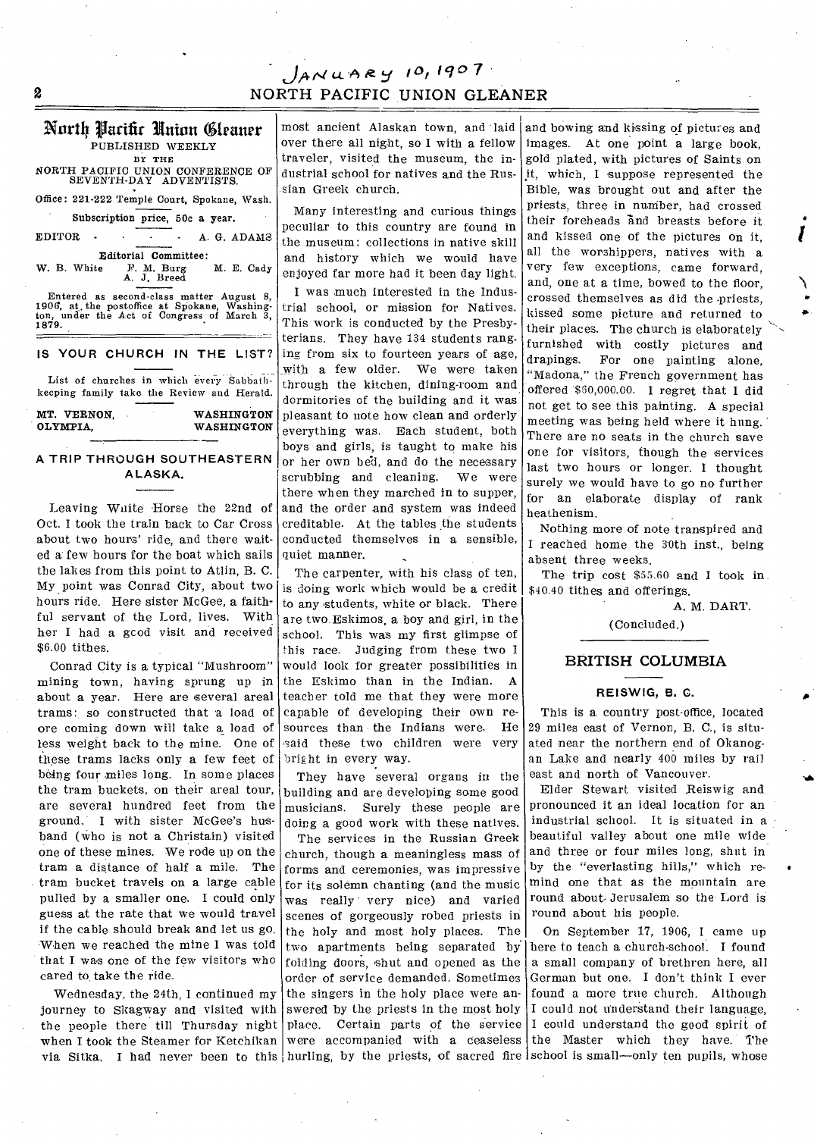# jeit44.4.A, gy 10*<sup>1</sup> +1*0 *7*  2 NORTH PACIFIC UNION GLEANER

### North Parifir Union Cleaner PUBLISHED WEEKLY

BY THE

NORTH PACIFIC UNION CONFERENCE OF SEVENTH-DAY ADVENTISTS.

Office: 221-222 Temple Court, Spokane, Wash.

Subscription price, 50c a year.

EDITOR - - - - A. G. ADAMS

**Editorial Committee:**<br>W. B. White F. M. Burg M. E. Cady W. B. White F. M. Burg M. E. Cady<br>A. J. Breed

Entered as second•class matter August 8, 1906, at. the postoffice at Spokane, Washing-ton, under the Act of Congress of March 3, 1879.

### **IS YOUR CHURCH IN THE LIST?**

List of churches in which every Sabbathkeeping family take the Review and Herald.

MT. VERNON, WASHINGTON<br>OLYMPIA WASHINGTON WASHINGTON

### **A TRIP THROUGH SOUTHEASTERN ALASKA.**

Leaving Waite Horse the 22nd of Oct. I took the train back to Car Cross about two hours' ride, and there waited a few hours for the boat which sails the lakes from this point to Atlin, B. C. My point was Conrad City, about two hours ride. Here sister McGee, a faithful servant of the Lord, lives. With her I had a gcod visit and received \$6.00 tithes.

Conrad City is a typical "Mushroom" mining town, having sprung up in about a year. Here are several areal trams: so constructed that a load of ore coming down will take a load of less weight back to the mine. One of these trams lacks only a few feet of being four miles long. In some places the tram buckets, on their areal tour, are several hundred feet from the ground. I with sister McGee's husband (who is not a Christain) visited one of these mines. We rode up on the tram a distance of half a mile. The tram bucket travels on a large cable pulled by a smaller one. I could only guess at the rate that we would travel if the cable should break and let us go. When we reached the mine I was told that I was one of the few visitors who cared to take the ride.

Wednesday, the 24th, I continued my journey to Skagway and visited with the people there till Thursday night when I took the Steamer for Ketchikan via Sitka. I had never been to this hurling, by the priests, of sacred fire school is small—only ten pupils, whose

most ancient Alaskan town, and laid over there all night, so I with a fellow traveler, visited the museum, the industrial school for natives and the Russian Greek church.

Many interesting and curious things peculiar to this country are found in the museum: collections in native skill and history which we would have enjoyed far more had it been day light.

I was much interested in the Industrial school, or mission for Natives. This work is conducted by the Presbyterians. They have 134 students ranging from six to fourteen years of age, with a few older. We were taken through the kitchen, dining-room and dormitories of the building and it was pleasant to note how clean and orderly everything was. Each student, both boys and girls, is taught to make his or her own bed, and do the necessary scrubbing and cleaning. We were there when they marched in to supper, and the order and system was indeed creditable. At the tables the students conducted themselves in a sensible, quiet manner.

The carpenter, with his class of ten, is doing work which would be a credit to any 'students, white or black. There are two. Eskimos, a boy and girl, in the school. This was my first glimpse of this race. Judging from these two I would look for greater possibilities in the Eskimo than in the Indian. A teacher told me that they were more capable of developing their own resources than the Indians were. He said these two children were very bright in every way.

They have several organs in the building and are developing some good musicians. Surely these people are doing a good work with these natives.

The services in the Russian Greek church, though a meaningless mass of forms and ceremonies, was impressive for its solemn chanting (and the music was really very nice) and varied scenes of gorgeously robed priests in the holy and most holy places. The two apartments being separated by folding doors, shut and opened as the order of service demanded. Sometimes the singers in the holy place were answered by the priests in the most holy place. Certain parts of the service were accompanied with a ceaseless

and bowing and kissing of pictures and images. At one point a large book, gold plated, with pictures of Saints on it, which, I suppose represented the Bible, was brought out and after the priests, three in number, had crossed their foreheads and breasts before it and kissed one of the pictures on it, all the worshippers, natives with a very few exceptions, came forward, and, one at a time, bowed to the floor, crossed themselves as did the -priests, kissed some picture and returned to their places. The church is elaborately furnished with costly pictures and drapings. For one painting alone, "Madona," the French government has offered \$30,000.00. I regret that I did not get to see this painting. A special meeting was being held where it hung. There are no seats in the church save one for visitors, though the services last two hours or longer. I thought surely we would have to go no further for an elaborate display of rank heathenism.

Nothing more of note transpired and I reached home the 30th inst., being absent three weeks.

The trip cost \$55.60 and I took in \$40.40 tithes and offerings.

A. M. DART.

(Concluded.)

### BRITISH COLUMBIA

#### **REISWIG, B. C.**

This is a country post-office, located 29 miles east of Vernon, B. C., is situated near the northern end of Okanogan Lake and nearly 400 miles by rail east and north of Vancouver.

Elder Stewart visited Reiswig and pronounced it an ideal location for an industrial school. It is situated in a beautiful valley about one mile wide and three or four miles long, shut in by the "everlasting hills," which remind one that as the mountain are round about- Jerusalem so the Lord is round about his people.

On September 17, 1906, I came up here to teach a church-school. I found a small company of brethren here, all German but one. I don't think I ever found a more true church. Although I could not understand their language, I could understand the good spirit of the Master which they have. The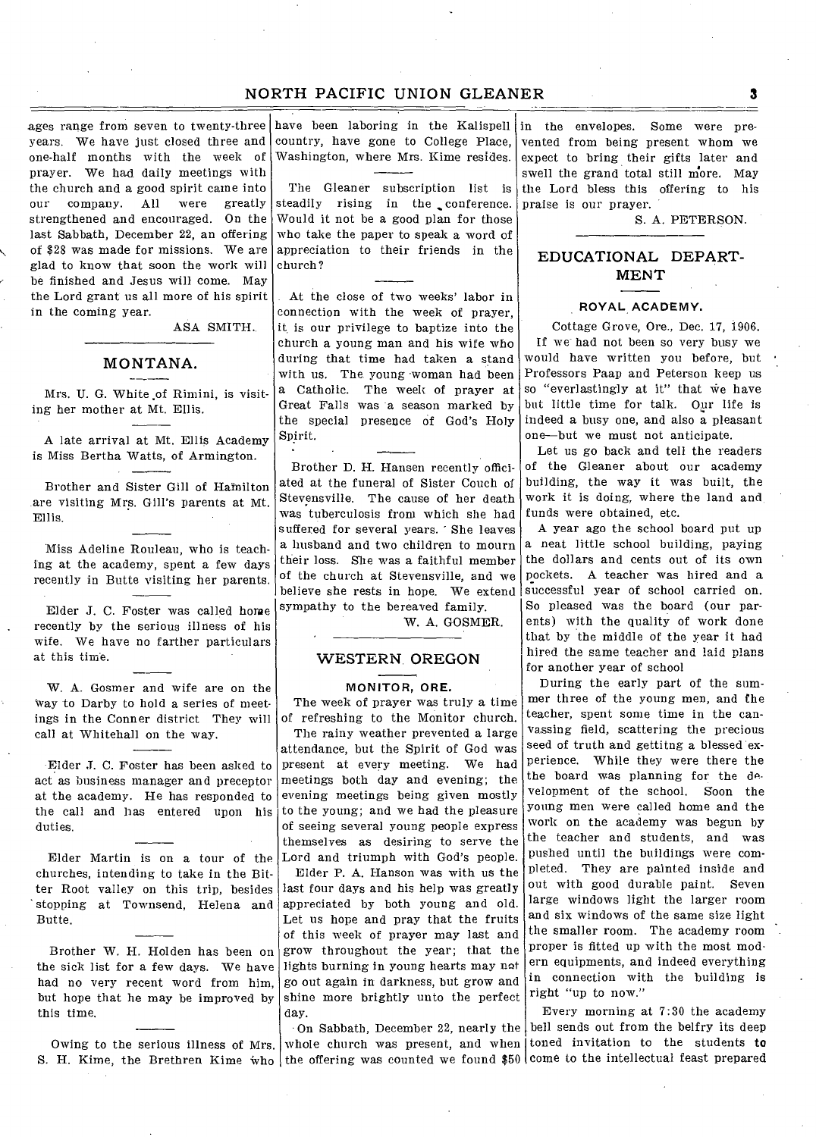### NORTH PACIFIC UNION GLEANER **3**

ages range from seven to twenty-three years. We have just closed three and one-half months with the week of prayer. We had daily meetings with the church and a good spirit came into our company. All were greatly strengthened and encouraged. On the last Sabbath, December 22, an offering of \$28 was made for missions. We are glad to know that soon the work will be finished and Jesus will come. May the Lord grant us all more of his spirit in the coming year.

ASA SMITH.

### MONTANA.

Mrs. U. G. White of Rimini, is visiting her mother at Mt. Ellis.

A late arrival at Mt. Ellis Academy is Miss Bertha Watts, of Armington.

Brother and Sister Gill of Hamilton are visiting Mrs. Gill's parents at Mt. Ellis.

Miss Adeline Rouleau, who is teaching at the academy, spent a few days recently in Butte visiting her parents.

Elder J. C. Foster was called horse recently by the serious illness of his wife. We have no farther particulars at this time.

W. A. Gosmer and wife are on the way to Darby to hold a series of meetings in the Conner district They will call at Whitehall on the way.

Elder J. C. Foster has been asked to act as business manager and preceptor at the academy. He has responded to the call and has entered upon his duties.

Elder Martin is on a tour of the churches, intending to take in the Bitter Root valley on this trip, besides stopping at Townsend, Helena and Butte.

Brother W. H. Holden has been on the sick list for a few days. We have had no very recent word from him, but hope that he may be improved by this time.

Owing to the serious illness of Mrs. S. H. Kime, the Brethren Kime who the offering was counted we found \$50 come to the intellectual feast prepared

have been laboring in the Kalispell country, have gone to College Place, Washington, where Mrs. Kime resides.

The Gleaner subscription list is steadily rising in the conference. Would it not be a good plan for those who take the paper to speak a word of appreciation to their friends in the church?

At the close of two weeks' labor in connection with the week of prayer, it, is our privilege to baptize into the church a young man and his wife who during that time had taken a stand with us. The young woman had been a Catholic. The week of prayer at Great Falls was a season marked by the special presence of God's Holy Spirit.

Brother D. H. Hansen recently officiated at the funeral of Sister Couch of Stevensville. The cause of her death was tuberculosis from which she had suffered for several years. She leaves a husband and two children to mourn their loss. She was a faithful member of the church at Stevensville, and we believe she rests in hope. We extend sympathy to the bereaved family.

W. A. GOSMER.

### WESTERN. OREGON

#### **MONITOR, ORE.**

The week of prayer was truly a time of refreshing to the Monitor church. The rainy weather prevented a large attendance, but the Spirit of God was present at every meeting. We had meetings both day and evening; the evening meetings being given mostly to the young; and we had the pleasure of seeing several young people express themselves as desiring to serve the Lord and triumph with God's people. Elder P. A. Hanson was with us the last four days and his help was greatly appreciated by both young and old. Let us hope and pray that the fruits of this week of prayer may last and grow throughout the year; that the lights burning in young hearts may not go out again in darkness, but grow and shine more brightly unto the perfect day.

whole church was present, and when toned invitation to the students to

in the envelopes. Some were prevented from being present whom we expect to bring their gifts later and swell the grand total still more. May the Lord bless this offering to his praise is our prayer.

S. A. PETERSON.

### EDUCATIONAL DEPART-MENT

#### **ROYAL ACADEMY.**

Cottage Grove, Ore., Dec. 17, 1906. If we had not been so very busy we would have written you before, but Professors Paap and Peterson keep us so "everlastingly at it" that we have but little time for talk. Our life is indeed a busy one, and also a pleasant one—but we must not anticipate.

Let us go back and tell the readers of the Gleaner about our academy building, the way it was built, the work it is doing, where the land and funds were obtained, etc.

A year ago the school board put up a neat little school building, paying the dollars and cents out of its own pockets. A teacher was hired and a successful year of school carried on. So pleased was the board (our parents) with the quality of work done that by the middle of the year it had hired the same teacher and laid plans for another year of school

During the early part of the summer three of the young men, and the teacher, spent some time in the canvassing field, scattering the precious seed of truth and gettitng a blessed experience. While they were there the the board was planning for the development of the school. Soon the young men were called home and the work on the academy was begun by the teacher and students, and was pushed until the buildings were completed. They are painted inside and out with good durable paint. Seven large windows light the larger room and six windows of the same size light the smaller room. The academy room proper is fitted up with the most modern equipments, and indeed everything in connection with the building is right "up to now."

On Sabbath, December 22, nearly the bell sends out from the belfry its deep Every morning at 7:30 the academy